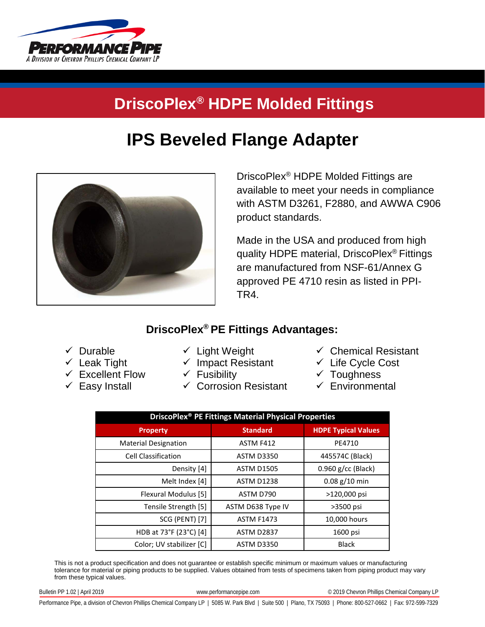

## **DriscoPlex® HDPE Molded Fittings**

## **IPS Beveled Flange Adapter**



DriscoPlex® HDPE Molded Fittings are available to meet your needs in compliance with ASTM D3261, F2880, and AWWA C906 product standards.

Made in the USA and produced from high quality HDPE material, DriscoPlex® Fittings are manufactured from NSF-61/Annex G approved PE 4710 resin as listed in PPI-TR4.

## **DriscoPlex® PE Fittings Advantages:**

 $\checkmark$  Durable

- $\checkmark$  Light Weight
- $\checkmark$  Leak Tight
- $\checkmark$  Excellent Flow
- $\checkmark$  Easy Install
- $\checkmark$  Impact Resistant
- $\checkmark$  Fusibility
- $\checkmark$  Corrosion Resistant
- $\checkmark$  Chemical Resistant
- $\checkmark$  Life Cycle Cost
- $\checkmark$  Toughness
- $\checkmark$  Environmental

| DriscoPlex <sup>®</sup> PE Fittings Material Physical Properties |                   |                            |  |  |  |  |
|------------------------------------------------------------------|-------------------|----------------------------|--|--|--|--|
| <b>Property</b>                                                  | <b>Standard</b>   | <b>HDPE Typical Values</b> |  |  |  |  |
| <b>Material Designation</b>                                      | ASTM F412         | PE4710                     |  |  |  |  |
| <b>Cell Classification</b>                                       | <b>ASTM D3350</b> | 445574C (Black)            |  |  |  |  |
| Density [4]                                                      | <b>ASTM D1505</b> | $0.960$ g/cc (Black)       |  |  |  |  |
| Melt Index [4]                                                   | <b>ASTM D1238</b> | $0.08$ g/10 min            |  |  |  |  |
| Flexural Modulus [5]                                             | ASTM D790         | >120,000 psi               |  |  |  |  |
| Tensile Strength [5]                                             | ASTM D638 Type IV | >3500 psi                  |  |  |  |  |
| <b>SCG (PENT) [7]</b>                                            | <b>ASTM F1473</b> | 10,000 hours               |  |  |  |  |
| HDB at 73°F (23°C) [4]                                           | <b>ASTM D2837</b> | 1600 psi                   |  |  |  |  |
| Color; UV stabilizer [C]                                         | <b>ASTM D3350</b> | <b>Black</b>               |  |  |  |  |

This is not a product specification and does not guarantee or establish specific minimum or maximum values or manufacturing tolerance for material or piping products to be supplied. Values obtained from tests of specimens taken from piping product may vary from these typical values.